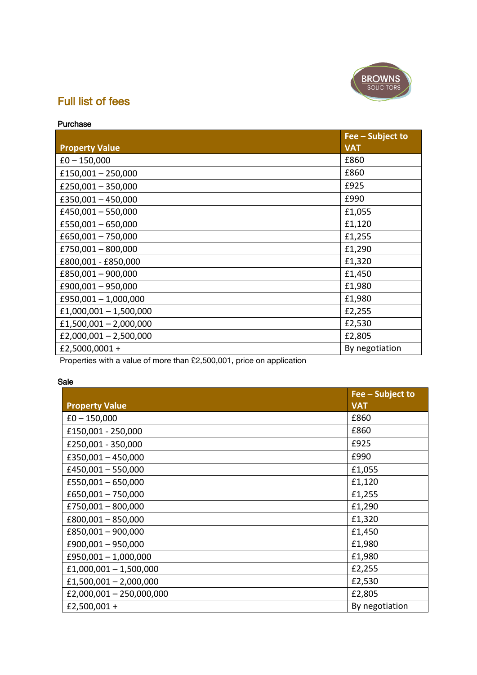

## Full list of fees

## Purchase

| <b>Property Value</b>    | Fee - Subject to<br><b>VAT</b> |
|--------------------------|--------------------------------|
| $£0 - 150,000$           | £860                           |
| £150,001 $-$ 250,000     | £860                           |
| £250,001 $-$ 350,000     | £925                           |
| £350,001 - 450,000       | £990                           |
| £450,001 $-$ 550,000     | £1,055                         |
| £550,001 $-$ 650,000     | £1,120                         |
| £650,001 $-750,000$      | £1,255                         |
| £750,001 - 800,000       | £1,290                         |
| £800,001 - £850,000      | £1,320                         |
| £850,001 - 900,000       | £1,450                         |
| £900,001 - 950,000       | £1,980                         |
| £950,001 - 1,000,000     | £1,980                         |
| £1,000,001 $-$ 1,500,000 | £2,255                         |
| £1,500,001 - 2,000,000   | £2,530                         |
| £2,000,001 $-$ 2,500,000 | £2,805                         |
| £2,5000,0001+            | By negotiation                 |

Properties with a value of more than £2,500,001, price on application

## Sale

|                            | Fee – Subject to |
|----------------------------|------------------|
| <b>Property Value</b>      | <b>VAT</b>       |
| $£0 - 150,000$             | £860             |
| £150,001 - 250,000         | £860             |
| £250,001 - 350,000         | £925             |
| £350,001 $-$ 450,000       | £990             |
| £450,001 $-$ 550,000       | £1,055           |
| £550,001 $-$ 650,000       | £1,120           |
| £650,001 $-750,000$        | £1,255           |
| £750,001 $-$ 800,000       | £1,290           |
| $£800,001 - 850,000$       | £1,320           |
| £850,001 - 900,000         | £1,450           |
| £900,001 - 950,000         | £1,980           |
| £950,001 - 1,000,000       | £1,980           |
| $£1,000,001 - 1,500,000$   | £2,255           |
| £1,500,001 - 2,000,000     | £2,530           |
| £2,000,001 $-$ 250,000,000 | £2,805           |
| £2,500,001 +               | By negotiation   |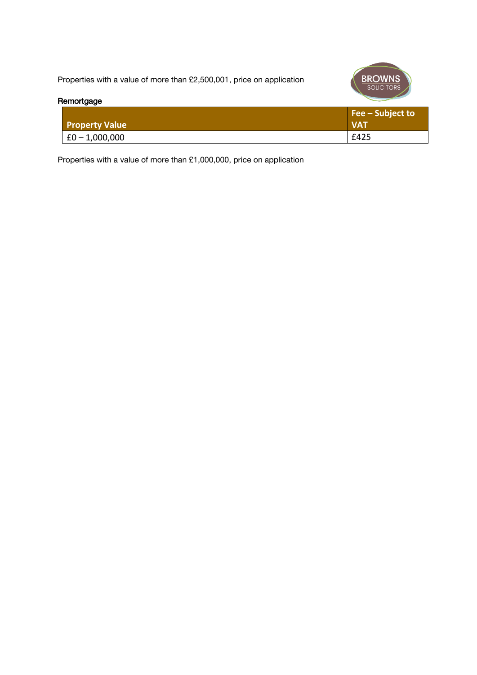| Properties with a value of more than £2,500,001, price on application<br>Remortgage | <b>BROWNS</b><br><b>SOLICITORS</b> |
|-------------------------------------------------------------------------------------|------------------------------------|
|                                                                                     | Fee – Subject to                   |
| <b>Property Value</b>                                                               | <b>VAT</b>                         |
| $£0 - 1,000,000$                                                                    | £425                               |

Properties with a value of more than £1,000,000, price on application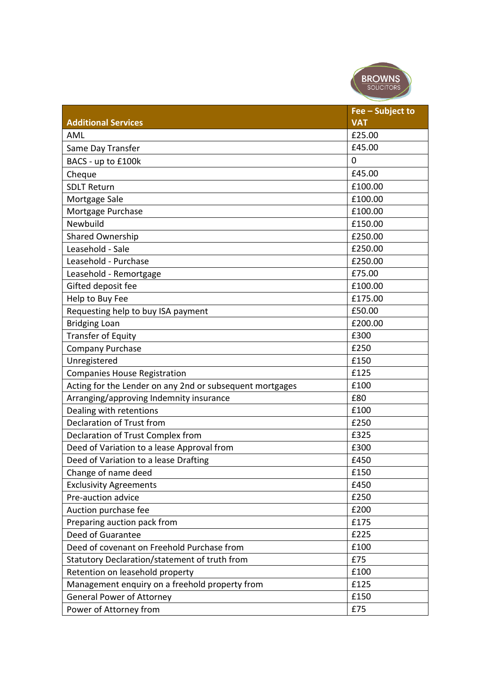

|                                                          | Fee - Subject to |
|----------------------------------------------------------|------------------|
| <b>Additional Services</b>                               | <b>VAT</b>       |
| AML                                                      | £25.00           |
| Same Day Transfer                                        | £45.00           |
| BACS - up to £100k                                       | 0                |
| Cheque                                                   | £45.00           |
| <b>SDLT Return</b>                                       | £100.00          |
| Mortgage Sale                                            | £100.00          |
| Mortgage Purchase                                        | £100.00          |
| Newbuild                                                 | £150.00          |
| <b>Shared Ownership</b>                                  | £250.00          |
| Leasehold - Sale                                         | £250.00          |
| Leasehold - Purchase                                     | £250.00          |
| Leasehold - Remortgage                                   | £75.00           |
| Gifted deposit fee                                       | £100.00          |
| Help to Buy Fee                                          | £175.00          |
| Requesting help to buy ISA payment                       | £50.00           |
| <b>Bridging Loan</b>                                     | £200.00          |
| <b>Transfer of Equity</b>                                | £300             |
| <b>Company Purchase</b>                                  | £250             |
| Unregistered                                             | £150             |
| <b>Companies House Registration</b>                      | £125             |
| Acting for the Lender on any 2nd or subsequent mortgages | £100             |
| Arranging/approving Indemnity insurance                  | £80              |
| Dealing with retentions                                  | £100             |
| Declaration of Trust from                                | £250             |
| Declaration of Trust Complex from                        | £325             |
| Deed of Variation to a lease Approval from               | £300             |
| Deed of Variation to a lease Drafting                    | £450             |
| Change of name deed                                      | £150             |
| <b>Exclusivity Agreements</b>                            | £450             |
| Pre-auction advice                                       | £250             |
| Auction purchase fee                                     | £200             |
| Preparing auction pack from                              | £175             |
| Deed of Guarantee                                        | £225             |
| Deed of covenant on Freehold Purchase from               | £100             |
| Statutory Declaration/statement of truth from            | £75              |
| Retention on leasehold property                          | £100             |
| Management enquiry on a freehold property from           | £125             |
| <b>General Power of Attorney</b>                         | £150             |
| Power of Attorney from                                   | £75              |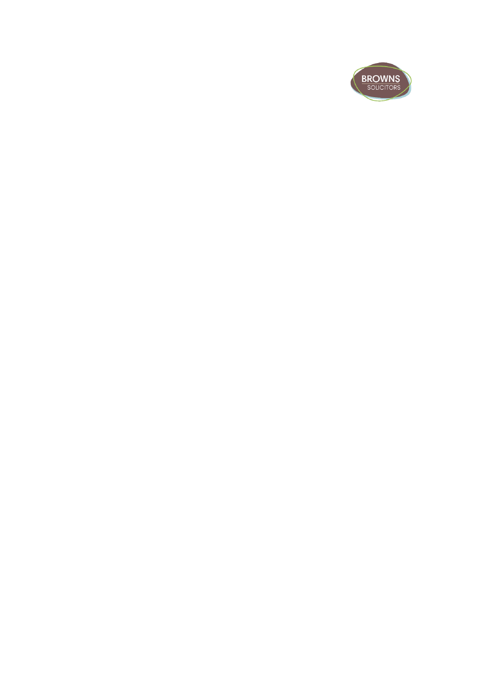